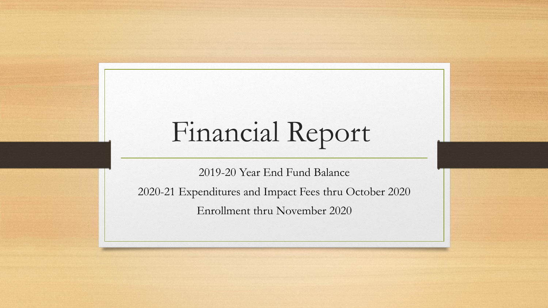## Financial Report

2019-20 Year End Fund Balance

2020-21 Expenditures and Impact Fees thru October 2020

Enrollment thru November 2020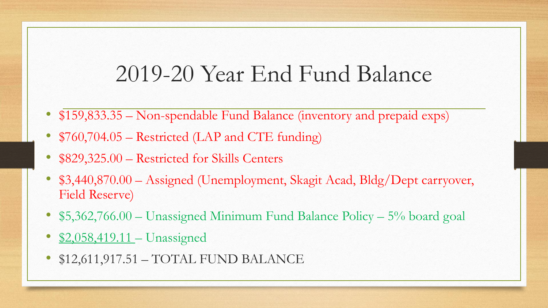## 2019-20 Year End Fund Balance

- \$159,833.35 Non-spendable Fund Balance (inventory and prepaid exps)
- \$760,704.05 Restricted (LAP and CTE funding)
- \$829,325.00 Restricted for Skills Centers
- \$3,440,870.00 Assigned (Unemployment, Skagit Acad, Bldg/Dept carryover, Field Reserve)
- \$5,362,766.00 Unassigned Minimum Fund Balance Policy 5% board goal
- \$2,058,419.11 Unassigned
- \$12,611,917.51 TOTAL FUND BALANCE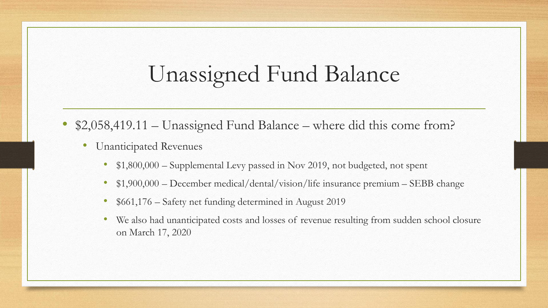## Unassigned Fund Balance

- \$2,058,419.11 Unassigned Fund Balance where did this come from?
	- Unanticipated Revenues
		- \$1,800,000 Supplemental Levy passed in Nov 2019, not budgeted, not spent
		- \$1,900,000 December medical/dental/vision/life insurance premium SEBB change
		- \$661,176 Safety net funding determined in August 2019
		- We also had unanticipated costs and losses of revenue resulting from sudden school closure on March 17, 2020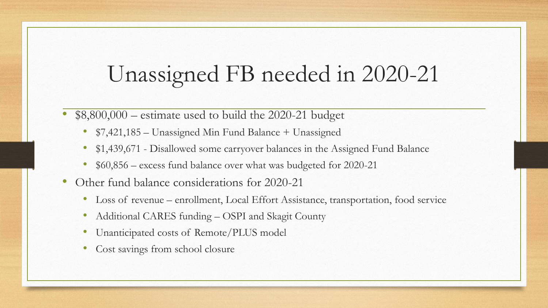## Unassigned FB needed in 2020-21

- $$8,800,000$  estimate used to build the 2020-21 budget
	- \$7,421,185 Unassigned Min Fund Balance + Unassigned
	- \$1,439,671 Disallowed some carryover balances in the Assigned Fund Balance
	- \$60,856 excess fund balance over what was budgeted for 2020-21
- Other fund balance considerations for 2020-21
	- Loss of revenue enrollment, Local Effort Assistance, transportation, food service
	- Additional CARES funding OSPI and Skagit County
	- Unanticipated costs of Remote/PLUS model
	- Cost savings from school closure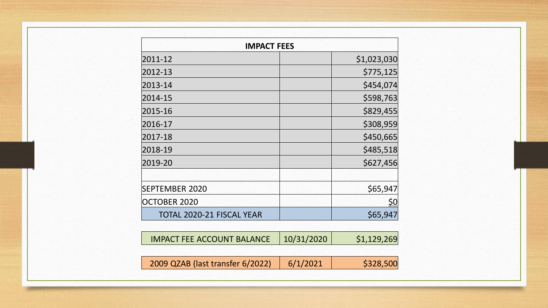| <b>IMPACT FEES</b>        |             |  |  |  |  |
|---------------------------|-------------|--|--|--|--|
| 2011-12                   | \$1,023,030 |  |  |  |  |
| 2012-13                   | \$775,125   |  |  |  |  |
| 2013-14                   | \$454,074   |  |  |  |  |
| 2014-15                   | \$598,763   |  |  |  |  |
| 2015-16                   | \$829,455   |  |  |  |  |
| 2016-17                   | \$308,959   |  |  |  |  |
| 2017-18                   | \$450,665   |  |  |  |  |
| 2018-19                   | \$485,518   |  |  |  |  |
| 2019-20                   | \$627,456   |  |  |  |  |
|                           |             |  |  |  |  |
| <b>SEPTEMBER 2020</b>     | \$65,947    |  |  |  |  |
| OCTOBER 2020              | <u>\$0</u>  |  |  |  |  |
| TOTAL 2020-21 FISCAL YEAR | \$65,947    |  |  |  |  |

| <b>IMPACT FEE ACCOUNT BALANCE</b> | 10/31/2020 | \$1,129,269 |
|-----------------------------------|------------|-------------|
| 2009 QZAB (last transfer 6/2022)  | 6/1/2021   | \$328,500   |